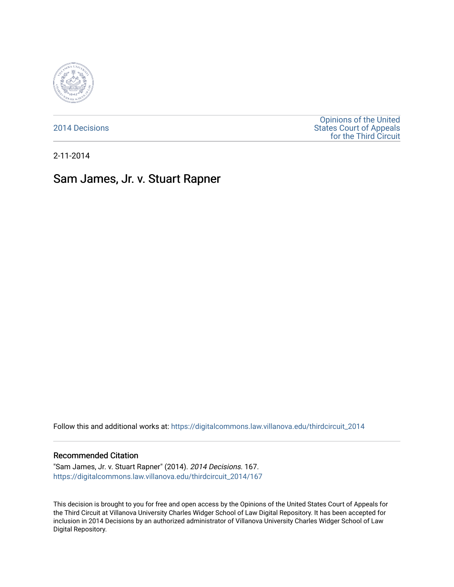

[2014 Decisions](https://digitalcommons.law.villanova.edu/thirdcircuit_2014)

[Opinions of the United](https://digitalcommons.law.villanova.edu/thirdcircuit)  [States Court of Appeals](https://digitalcommons.law.villanova.edu/thirdcircuit)  [for the Third Circuit](https://digitalcommons.law.villanova.edu/thirdcircuit) 

2-11-2014

# Sam James, Jr. v. Stuart Rapner

Follow this and additional works at: [https://digitalcommons.law.villanova.edu/thirdcircuit\\_2014](https://digitalcommons.law.villanova.edu/thirdcircuit_2014?utm_source=digitalcommons.law.villanova.edu%2Fthirdcircuit_2014%2F167&utm_medium=PDF&utm_campaign=PDFCoverPages) 

#### Recommended Citation

"Sam James, Jr. v. Stuart Rapner" (2014). 2014 Decisions. 167. [https://digitalcommons.law.villanova.edu/thirdcircuit\\_2014/167](https://digitalcommons.law.villanova.edu/thirdcircuit_2014/167?utm_source=digitalcommons.law.villanova.edu%2Fthirdcircuit_2014%2F167&utm_medium=PDF&utm_campaign=PDFCoverPages)

This decision is brought to you for free and open access by the Opinions of the United States Court of Appeals for the Third Circuit at Villanova University Charles Widger School of Law Digital Repository. It has been accepted for inclusion in 2014 Decisions by an authorized administrator of Villanova University Charles Widger School of Law Digital Repository.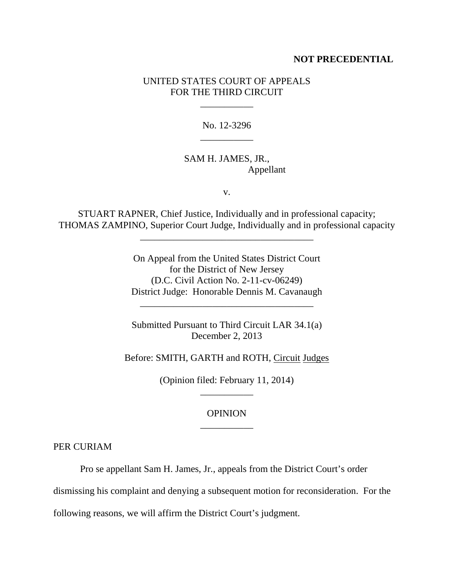#### **NOT PRECEDENTIAL**

### UNITED STATES COURT OF APPEALS FOR THE THIRD CIRCUIT

\_\_\_\_\_\_\_\_\_\_\_

No. 12-3296 \_\_\_\_\_\_\_\_\_\_\_

## SAM H. JAMES, JR., Appellant

v.

STUART RAPNER, Chief Justice, Individually and in professional capacity; THOMAS ZAMPINO, Superior Court Judge, Individually and in professional capacity

\_\_\_\_\_\_\_\_\_\_\_\_\_\_\_\_\_\_\_\_\_\_\_\_\_\_\_\_\_\_\_\_\_\_\_\_

On Appeal from the United States District Court for the District of New Jersey (D.C. Civil Action No. 2-11-cv-06249) District Judge: Honorable Dennis M. Cavanaugh

Submitted Pursuant to Third Circuit LAR 34.1(a) December 2, 2013

\_\_\_\_\_\_\_\_\_\_\_\_\_\_\_\_\_\_\_\_\_\_\_\_\_\_\_\_\_\_\_\_\_\_\_\_

Before: SMITH, GARTH and ROTH, Circuit Judges

(Opinion filed: February 11, 2014) \_\_\_\_\_\_\_\_\_\_\_

## **OPINION** \_\_\_\_\_\_\_\_\_\_\_

PER CURIAM

Pro se appellant Sam H. James, Jr., appeals from the District Court's order

dismissing his complaint and denying a subsequent motion for reconsideration. For the

following reasons, we will affirm the District Court's judgment.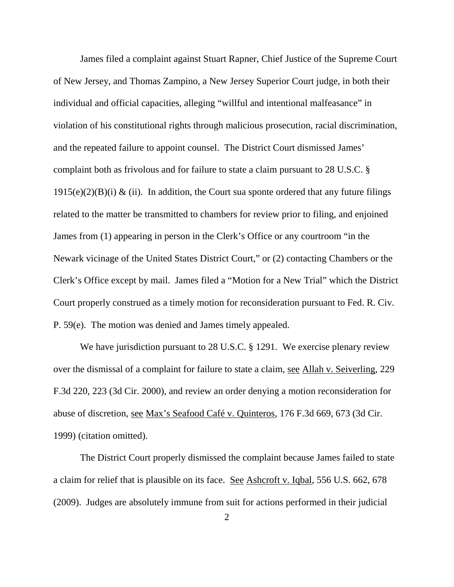James filed a complaint against Stuart Rapner, Chief Justice of the Supreme Court of New Jersey, and Thomas Zampino, a New Jersey Superior Court judge, in both their individual and official capacities, alleging "willful and intentional malfeasance" in violation of his constitutional rights through malicious prosecution, racial discrimination, and the repeated failure to appoint counsel. The District Court dismissed James' complaint both as frivolous and for failure to state a claim pursuant to 28 U.S.C. §  $1915(e)(2)(B)(i)$  & (ii). In addition, the Court sua sponte ordered that any future filings related to the matter be transmitted to chambers for review prior to filing, and enjoined James from (1) appearing in person in the Clerk's Office or any courtroom "in the Newark vicinage of the United States District Court," or (2) contacting Chambers or the Clerk's Office except by mail. James filed a "Motion for a New Trial" which the District Court properly construed as a timely motion for reconsideration pursuant to Fed. R. Civ. P. 59(e). The motion was denied and James timely appealed.

We have jurisdiction pursuant to 28 U.S.C. § 1291. We exercise plenary review over the dismissal of a complaint for failure to state a claim, see Allah v. Seiverling, 229 F.3d 220, 223 (3d Cir. 2000), and review an order denying a motion reconsideration for abuse of discretion, see Max's Seafood Café v. Quinteros, 176 F.3d 669, 673 (3d Cir. 1999) (citation omitted).

The District Court properly dismissed the complaint because James failed to state a claim for relief that is plausible on its face. See Ashcroft v. Iqbal, 556 U.S. 662, 678 (2009). Judges are absolutely immune from suit for actions performed in their judicial